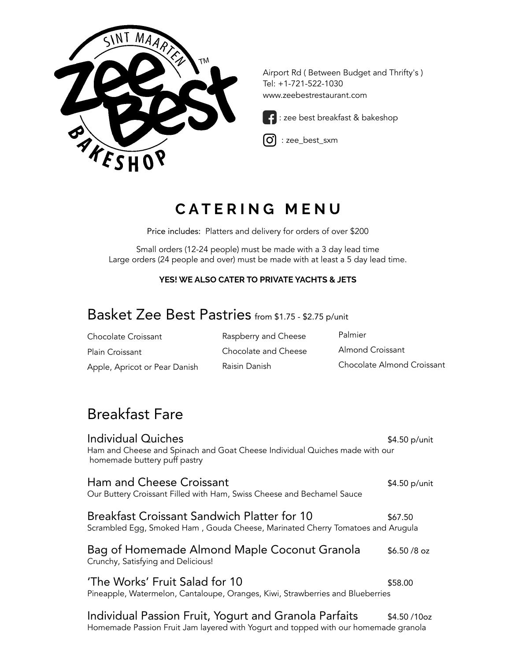

Airport Rd ( Between Budget and Thrifty's ) Tel: +1-721-522-1030 www.zeebestrestaurant.com



: zee best breakfast & bakeshop

l.  $\boxed{\text{O}}$  : zee\_best\_sxm

# **C A T E R I N G M E N U**

Price includes: Platters and delivery for orders of over \$200

Small orders (12-24 people) must be made with a 3 day lead time Large orders (24 people and over) must be made with at least a 5 day lead time.

#### **YES! WE ALSO CATER TO PRIVATE YACHTS & JETS**

# Basket Zee Best Pastries from \$1.75 - \$2.75 p/unit

| Chocolate Croissant           | Raspberry and Cheese | Palmier                    |
|-------------------------------|----------------------|----------------------------|
| Plain Croissant               | Chocolate and Cheese | Almond Croissant           |
| Apple, Apricot or Pear Danish | Raisin Danish        | Chocolate Almond Croissant |

## Breakfast Fare

| Individual Quiches<br>Ham and Cheese and Spinach and Goat Cheese Individual Quiches made with our<br>homemade buttery puff pastry            | \$4.50 p/unit |
|----------------------------------------------------------------------------------------------------------------------------------------------|---------------|
| Ham and Cheese Croissant<br>Our Buttery Croissant Filled with Ham, Swiss Cheese and Bechamel Sauce                                           | \$4.50 p/unit |
| <b>Breakfast Croissant Sandwich Platter for 10</b><br>Scrambled Egg, Smoked Ham, Gouda Cheese, Marinated Cherry Tomatoes and Arugula         | \$67.50       |
| Bag of Homemade Almond Maple Coconut Granola<br>Crunchy, Satisfying and Delicious!                                                           | $$6.50/8$ oz  |
| 'The Works' Fruit Salad for 10<br>Pineapple, Watermelon, Cantaloupe, Oranges, Kiwi, Strawberries and Blueberries                             | \$58.00       |
| Individual Passion Fruit, Yogurt and Granola Parfaits<br>Homemade Passion Fruit Jam layered with Yogurt and topped with our homemade granola | $$4.50/10$ oz |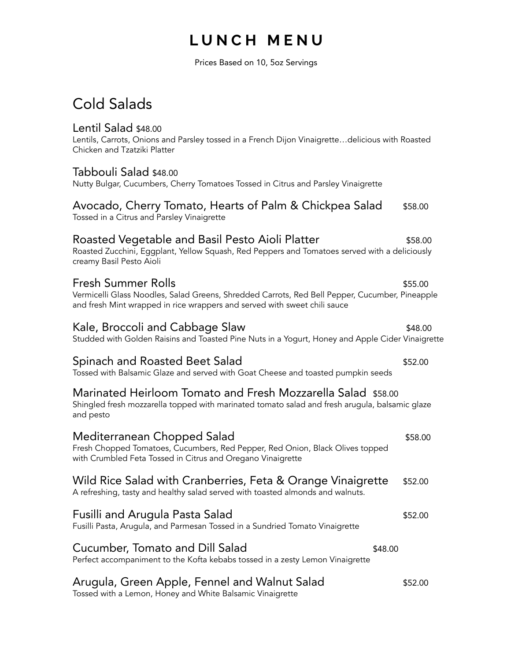## **L U N C H M E N U**

Prices Based on 10, 5oz Servings

## Cold Salads

### Lentil Salad \$48.00

Lentils, Carrots, Onions and Parsley tossed in a French Dijon Vinaigrette…delicious with Roasted Chicken and Tzatziki Platter

### Tabbouli Salad \$48.00

Nutty Bulgar, Cucumbers, Cherry Tomatoes Tossed in Citrus and Parsley Vinaigrette

### Avocado, Cherry Tomato, Hearts of Palm & Chickpea Salad \$58.00 Tossed in a Citrus and Parsley Vinaigrette

## Roasted Vegetable and Basil Pesto Aioli Platter **\$58.00** \$58.00

Roasted Zucchini, Eggplant, Yellow Squash, Red Peppers and Tomatoes served with a deliciously creamy Basil Pesto Aioli

## Fresh Summer Rolls \$55.00

Vermicelli Glass Noodles, Salad Greens, Shredded Carrots, Red Bell Pepper, Cucumber, Pineapple and fresh Mint wrapped in rice wrappers and served with sweet chili sauce

## Kale, Broccoli and Cabbage Slaw  $$48.00$

Studded with Golden Raisins and Toasted Pine Nuts in a Yogurt, Honey and Apple Cider Vinaigrette

## Spinach and Roasted Beet Salad  $$52.00$

Tossed with Balsamic Glaze and served with Goat Cheese and toasted pumpkin seeds

## Marinated Heirloom Tomato and Fresh Mozzarella Salad \$58.00

Shingled fresh mozzarella topped with marinated tomato salad and fresh arugula, balsamic glaze and pesto

| Mediterranean Chopped Salad<br>Fresh Chopped Tomatoes, Cucumbers, Red Pepper, Red Onion, Black Olives topped<br>with Crumbled Feta Tossed in Citrus and Oregano Vinaigrette | \$58.00 |
|-----------------------------------------------------------------------------------------------------------------------------------------------------------------------------|---------|
| Wild Rice Salad with Cranberries, Feta & Orange Vinaigrette<br>A refreshing, tasty and healthy salad served with toasted almonds and walnuts.                               | \$52.00 |
| Fusilli and Arugula Pasta Salad<br>Fusilli Pasta, Arugula, and Parmesan Tossed in a Sundried Tomato Vinaigrette                                                             | \$52.00 |
| Cucumber, Tomato and Dill Salad<br>\$48.00<br>Perfect accompaniment to the Kofta kebabs tossed in a zesty Lemon Vinaigrette                                                 |         |
| Arugula, Green Apple, Fennel and Walnut Salad                                                                                                                               | \$52.00 |

Tossed with a Lemon, Honey and White Balsamic Vinaigrette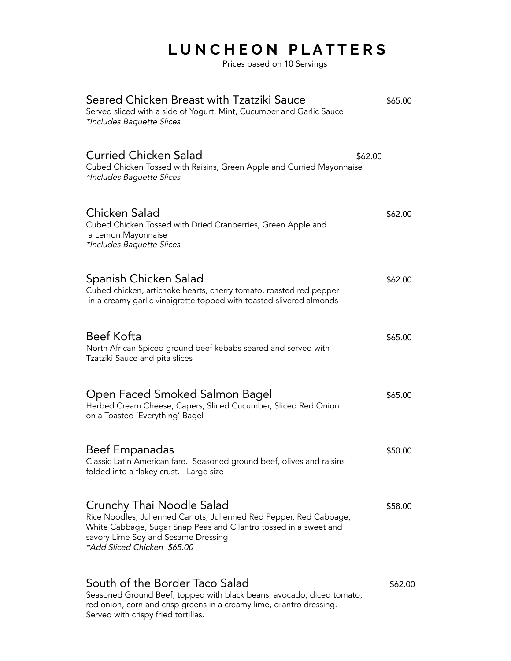# **L U N C H E O N P L A T T E R S**

Prices based on 10 Servings

| Seared Chicken Breast with Tzatziki Sauce<br>Served sliced with a side of Yogurt, Mint, Cucumber and Garlic Sauce<br>*Includes Baguette Slices                                                                                              | \$65.00 |
|---------------------------------------------------------------------------------------------------------------------------------------------------------------------------------------------------------------------------------------------|---------|
| <b>Curried Chicken Salad</b><br>\$62.00<br>Cubed Chicken Tossed with Raisins, Green Apple and Curried Mayonnaise<br>*Includes Baguette Slices                                                                                               |         |
| Chicken Salad<br>Cubed Chicken Tossed with Dried Cranberries, Green Apple and<br>a Lemon Mayonnaise<br>*Includes Baguette Slices                                                                                                            | \$62.00 |
| Spanish Chicken Salad<br>Cubed chicken, artichoke hearts, cherry tomato, roasted red pepper<br>in a creamy garlic vinaigrette topped with toasted slivered almonds                                                                          | \$62.00 |
| <b>Beef Kofta</b><br>North African Spiced ground beef kebabs seared and served with<br>Tzatziki Sauce and pita slices                                                                                                                       | \$65.00 |
| Open Faced Smoked Salmon Bagel<br>Herbed Cream Cheese, Capers, Sliced Cucumber, Sliced Red Onion<br>on a Toasted 'Everything' Bagel                                                                                                         | \$65.00 |
| <b>Beef Empanadas</b><br>Classic Latin American fare. Seasoned ground beef, olives and raisins<br>folded into a flakey crust. Large size                                                                                                    | \$50.00 |
| Crunchy Thai Noodle Salad<br>Rice Noodles, Julienned Carrots, Julienned Red Pepper, Red Cabbage,<br>White Cabbage, Sugar Snap Peas and Cilantro tossed in a sweet and<br>savory Lime Soy and Sesame Dressing<br>*Add Sliced Chicken \$65.00 | \$58.00 |
| South of the Border Taco Salad<br>Seasoned Ground Beef, topped with black beans, avocado, diced tomato,<br>red onion, corn and crisp greens in a creamy lime, cilantro dressing.<br>Served with crispy fried tortillas.                     | \$62.00 |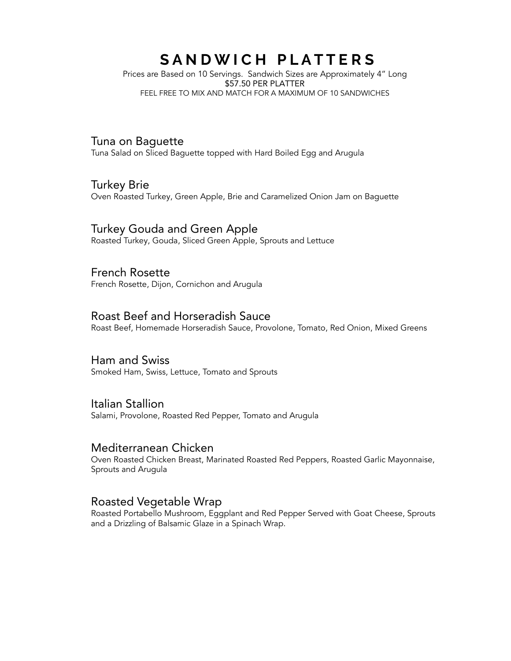## SANDWICH PLATTERS

Prices are Based on 10 Servings. Sandwich Sizes are Approximately 4" Long \$57.50 PER PLATTER FEEL FREE TO MIX AND MATCH FOR A MAXIMUM OF 10 SANDWICHES

### Tuna on Baguette

Tuna Salad on Sliced Baguette topped with Hard Boiled Egg and Arugula

### Turkey Brie

Oven Roasted Turkey, Green Apple, Brie and Caramelized Onion Jam on Baguette

### Turkey Gouda and Green Apple

Roasted Turkey, Gouda, Sliced Green Apple, Sprouts and Lettuce

### French Rosette

French Rosette, Dijon, Cornichon and Arugula

#### Roast Beef and Horseradish Sauce

Roast Beef, Homemade Horseradish Sauce, Provolone, Tomato, Red Onion, Mixed Greens

#### Ham and Swiss

Smoked Ham, Swiss, Lettuce, Tomato and Sprouts

#### Italian Stallion

Salami, Provolone, Roasted Red Pepper, Tomato and Arugula

### Mediterranean Chicken

Oven Roasted Chicken Breast, Marinated Roasted Red Peppers, Roasted Garlic Mayonnaise, Sprouts and Arugula

### Roasted Vegetable Wrap

Roasted Portabello Mushroom, Eggplant and Red Pepper Served with Goat Cheese, Sprouts and a Drizzling of Balsamic Glaze in a Spinach Wrap.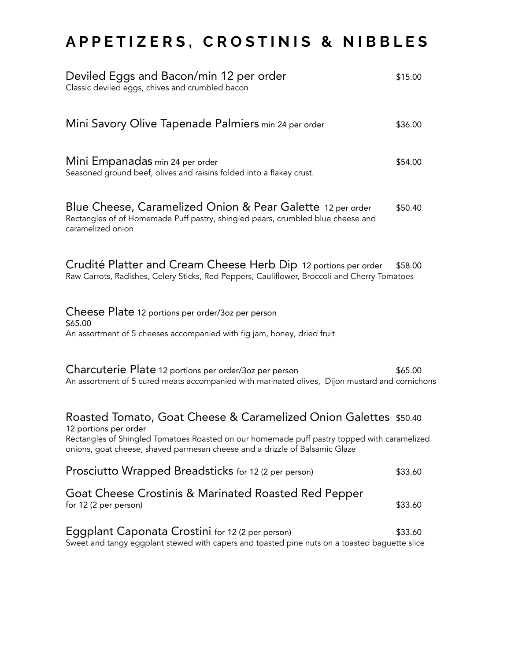# **A P P E T I Z E R S , C R O S T I N I S & N I B B L E S**

| Deviled Eggs and Bacon/min 12 per order<br>Classic deviled eggs, chives and crumbled bacon                                                                                                                                                                              | \$15.00 |
|-------------------------------------------------------------------------------------------------------------------------------------------------------------------------------------------------------------------------------------------------------------------------|---------|
| Mini Savory Olive Tapenade Palmiers min 24 per order                                                                                                                                                                                                                    | \$36.00 |
| Mini Empanadas min 24 per order<br>Seasoned ground beef, olives and raisins folded into a flakey crust.                                                                                                                                                                 | \$54.00 |
| Blue Cheese, Caramelized Onion & Pear Galette 12 per order<br>Rectangles of of Homemade Puff pastry, shingled pears, crumbled blue cheese and<br>caramelized onion                                                                                                      | \$50.40 |
| Crudité Platter and Cream Cheese Herb Dip 12 portions per order<br>Raw Carrots, Radishes, Celery Sticks, Red Peppers, Cauliflower, Broccoli and Cherry Tomatoes                                                                                                         | \$58.00 |
| Cheese Plate 12 portions per order/3oz per person<br>\$65.00<br>An assortment of 5 cheeses accompanied with fig jam, honey, dried fruit                                                                                                                                 |         |
| Charcuterie Plate 12 portions per order/3oz per person<br>An assortment of 5 cured meats accompanied with marinated olives, Dijon mustard and cornichons                                                                                                                | \$65.00 |
| Roasted Tomato, Goat Cheese & Caramelized Onion Galettes \$50.40<br>12 portions per order<br>Rectangles of Shingled Tomatoes Roasted on our homemade puff pastry topped with caramelized<br>onions, goat cheese, shaved parmesan cheese and a drizzle of Balsamic Glaze |         |
| Prosciutto Wrapped Breadsticks for 12 (2 per person)                                                                                                                                                                                                                    | \$33.60 |
| Goat Cheese Crostinis & Marinated Roasted Red Pepper<br>for 12 (2 per person)                                                                                                                                                                                           | \$33.60 |
| Eggplant Caponata Crostini for 12 (2 per person)<br>Sweet and tangy eggplant stewed with capers and toasted pine nuts on a toasted baguette slice                                                                                                                       | \$33.60 |